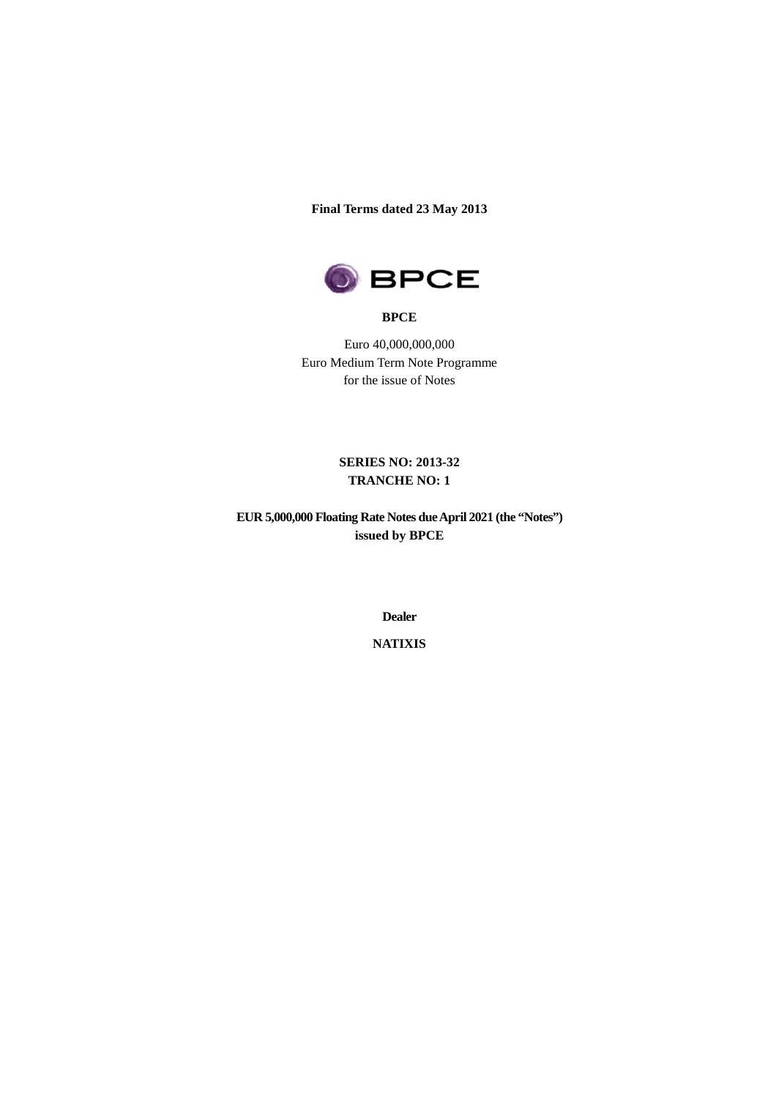**Final Terms dated 23 May 2013**



#### **BPCE**

Euro 40,000,000,000 Euro Medium Term Note Programme for the issue of Notes

> **SERIES NO: 2013-32 TRANCHE NO: 1**

**EUR 5,000,000 Floating Rate Notes dueApril 2021 (the "Notes") issued by BPCE**

**Dealer**

**NATIXIS**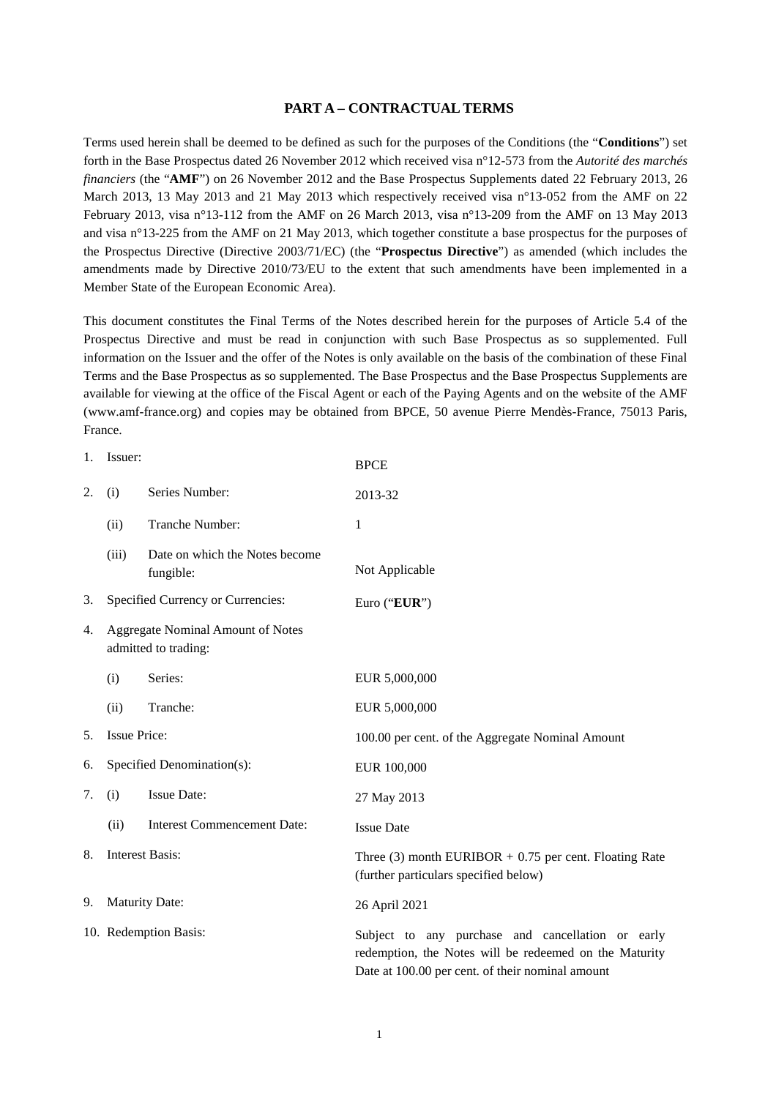#### **PART A – CONTRACTUAL TERMS**

Terms used herein shall be deemed to be defined as such for the purposes of the Conditions (the "**Conditions**") set forth in the Base Prospectus dated 26 November 2012 which received visa n°12-573 from the *Autorité des marchés financiers* (the "**AMF**") on 26 November 2012 and the Base Prospectus Supplements dated 22 February 2013, 26 March 2013, 13 May 2013 and 21 May 2013 which respectively received visa n°13-052 from the AMF on 22 February 2013, visa n°13-112 from the AMF on 26 March 2013, visa n°13-209 from the AMF on 13 May 2013 and visa n°13-225 from the AMF on 21 May 2013, which together constitute a base prospectus for the purposes of the Prospectus Directive (Directive 2003/71/EC) (the "**Prospectus Directive**") as amended (which includes the amendments made by Directive 2010/73/EU to the extent that such amendments have been implemented in a Member State of the European Economic Area).

This document constitutes the Final Terms of the Notes described herein for the purposes of Article 5.4 of the Prospectus Directive and must be read in conjunction with such Base Prospectus as so supplemented. Full information on the Issuer and the offer of the Notes is only available on the basis of the combination of these Final Terms and the Base Prospectus as so supplemented. The Base Prospectus and the Base Prospectus Supplements are available for viewing at the office of the Fiscal Agent or each of the Paying Agents and on the website of the AMF (www.amf-france.org) and copies may be obtained from BPCE, 50 avenue Pierre Mendès-France, 75013 Paris, France.

| 1. | Issuer:                                                   |                                             | <b>BPCE</b>                                                                                                                                                     |  |  |
|----|-----------------------------------------------------------|---------------------------------------------|-----------------------------------------------------------------------------------------------------------------------------------------------------------------|--|--|
| 2. | (i)                                                       | Series Number:                              | 2013-32                                                                                                                                                         |  |  |
|    | (ii)                                                      | Tranche Number:                             | 1                                                                                                                                                               |  |  |
|    | (iii)                                                     | Date on which the Notes become<br>fungible: | Not Applicable                                                                                                                                                  |  |  |
| 3. |                                                           | Specified Currency or Currencies:           | Euro ("EUR")                                                                                                                                                    |  |  |
| 4. | Aggregate Nominal Amount of Notes<br>admitted to trading: |                                             |                                                                                                                                                                 |  |  |
|    | (i)                                                       | Series:                                     | EUR 5,000,000                                                                                                                                                   |  |  |
|    | (ii)                                                      | Tranche:                                    | EUR 5,000,000                                                                                                                                                   |  |  |
| 5. | <b>Issue Price:</b>                                       |                                             | 100.00 per cent. of the Aggregate Nominal Amount                                                                                                                |  |  |
| 6. |                                                           | Specified Denomination(s):                  | EUR 100,000                                                                                                                                                     |  |  |
| 7. | (i)                                                       | Issue Date:                                 | 27 May 2013                                                                                                                                                     |  |  |
|    | (ii)                                                      | <b>Interest Commencement Date:</b>          | <b>Issue Date</b>                                                                                                                                               |  |  |
| 8. | <b>Interest Basis:</b>                                    |                                             | Three (3) month EURIBOR $+$ 0.75 per cent. Floating Rate<br>(further particulars specified below)                                                               |  |  |
| 9. | <b>Maturity Date:</b>                                     |                                             | 26 April 2021                                                                                                                                                   |  |  |
|    | 10. Redemption Basis:                                     |                                             | Subject to any purchase and cancellation or early<br>redemption, the Notes will be redeemed on the Maturity<br>Date at 100.00 per cent. of their nominal amount |  |  |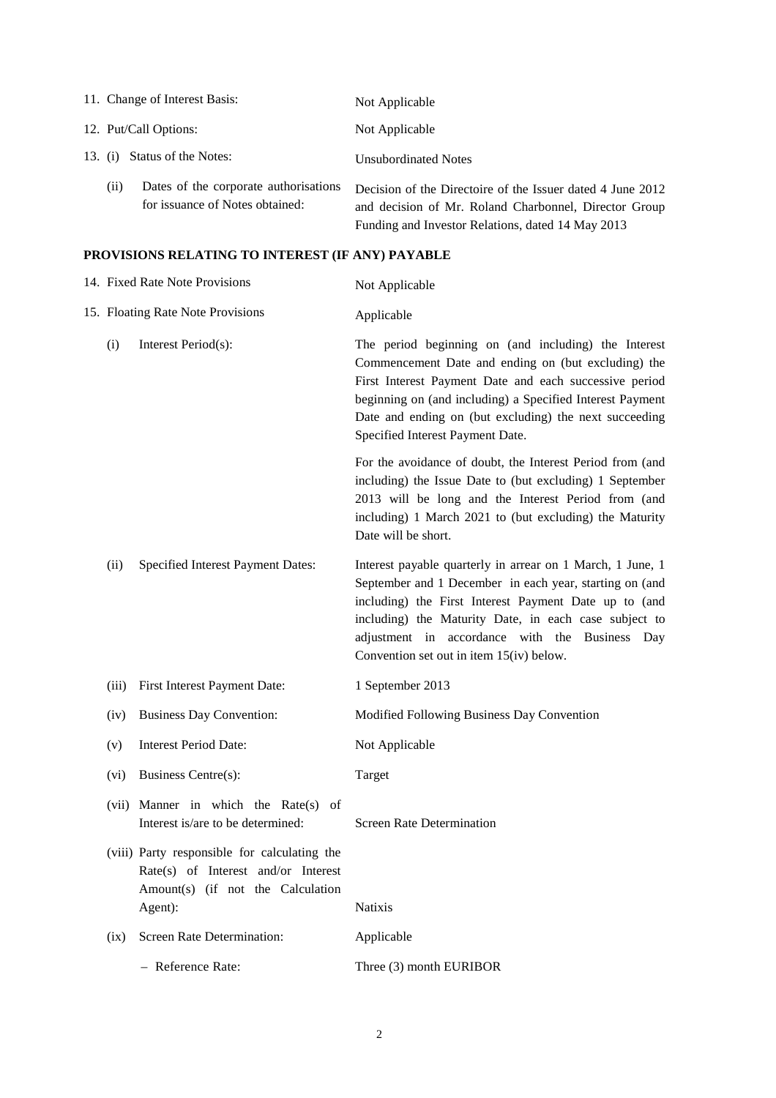| 11. Change of Interest Basis:                                                    | Not Applicable                                                                                                                                                           |
|----------------------------------------------------------------------------------|--------------------------------------------------------------------------------------------------------------------------------------------------------------------------|
| 12. Put/Call Options:                                                            | Not Applicable                                                                                                                                                           |
| Status of the Notes:<br>13. (i)                                                  | <b>Unsubordinated Notes</b>                                                                                                                                              |
| Dates of the corporate authorisations<br>(11)<br>for issuance of Notes obtained: | Decision of the Directoire of the Issuer dated 4 June 2012<br>and decision of Mr. Roland Charbonnel, Director Group<br>Funding and Investor Relations, dated 14 May 2013 |

# **PROVISIONS RELATING TO INTEREST (IF ANY) PAYABLE**

|                            | 14. Fixed Rate Note Provisions                                                                                                      | Not Applicable                                                                                                                                                                                                                                                                                                                          |  |  |  |
|----------------------------|-------------------------------------------------------------------------------------------------------------------------------------|-----------------------------------------------------------------------------------------------------------------------------------------------------------------------------------------------------------------------------------------------------------------------------------------------------------------------------------------|--|--|--|
|                            | 15. Floating Rate Note Provisions                                                                                                   | Applicable                                                                                                                                                                                                                                                                                                                              |  |  |  |
| (i)<br>Interest Period(s): |                                                                                                                                     | The period beginning on (and including) the Interest<br>Commencement Date and ending on (but excluding) the<br>First Interest Payment Date and each successive period<br>beginning on (and including) a Specified Interest Payment<br>Date and ending on (but excluding) the next succeeding<br>Specified Interest Payment Date.        |  |  |  |
|                            |                                                                                                                                     | For the avoidance of doubt, the Interest Period from (and<br>including) the Issue Date to (but excluding) 1 September<br>2013 will be long and the Interest Period from (and<br>including) 1 March 2021 to (but excluding) the Maturity<br>Date will be short.                                                                          |  |  |  |
| (ii)                       | Specified Interest Payment Dates:                                                                                                   | Interest payable quarterly in arrear on 1 March, 1 June, 1<br>September and 1 December in each year, starting on (and<br>including) the First Interest Payment Date up to (and<br>including) the Maturity Date, in each case subject to<br>adjustment in accordance with the Business Day<br>Convention set out in item $15(iv)$ below. |  |  |  |
| (iii)                      | First Interest Payment Date:                                                                                                        | 1 September 2013                                                                                                                                                                                                                                                                                                                        |  |  |  |
| (iv)                       | <b>Business Day Convention:</b>                                                                                                     | Modified Following Business Day Convention                                                                                                                                                                                                                                                                                              |  |  |  |
| (v)                        | <b>Interest Period Date:</b>                                                                                                        | Not Applicable                                                                                                                                                                                                                                                                                                                          |  |  |  |
| (vi)                       | <b>Business Centre(s):</b>                                                                                                          | Target                                                                                                                                                                                                                                                                                                                                  |  |  |  |
|                            | (vii) Manner in which the Rate(s)<br>of<br>Interest is/are to be determined:                                                        | <b>Screen Rate Determination</b>                                                                                                                                                                                                                                                                                                        |  |  |  |
|                            | (viii) Party responsible for calculating the<br>Rate(s) of Interest and/or Interest<br>Amount(s) (if not the Calculation<br>Agent): | <b>Natixis</b>                                                                                                                                                                                                                                                                                                                          |  |  |  |
| (ix)                       | <b>Screen Rate Determination:</b>                                                                                                   | Applicable                                                                                                                                                                                                                                                                                                                              |  |  |  |
|                            | - Reference Rate:                                                                                                                   | Three (3) month EURIBOR                                                                                                                                                                                                                                                                                                                 |  |  |  |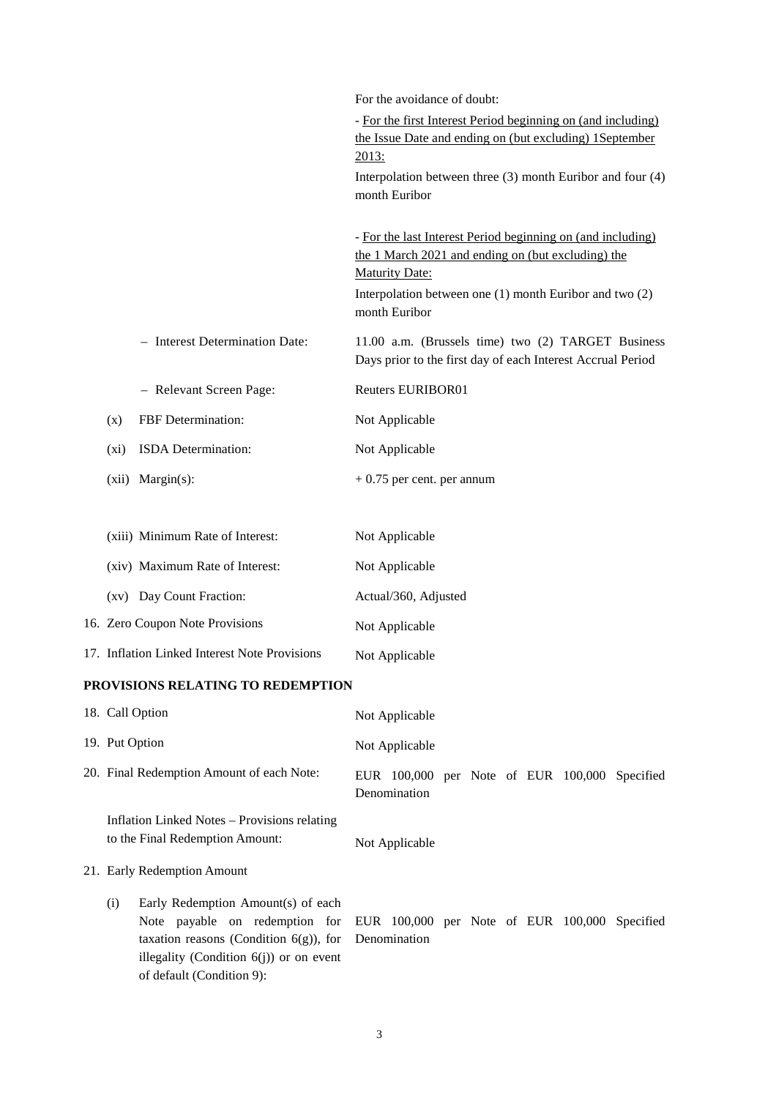|       |                                               | For the avoidance of doubt:                                                                                                                                                                                            |
|-------|-----------------------------------------------|------------------------------------------------------------------------------------------------------------------------------------------------------------------------------------------------------------------------|
|       |                                               | - For the first Interest Period beginning on (and including)<br>the Issue Date and ending on (but excluding) 1September<br>2013:                                                                                       |
|       |                                               | Interpolation between three $(3)$ month Euribor and four $(4)$<br>month Euribor                                                                                                                                        |
|       |                                               | - For the last Interest Period beginning on (and including)<br>the 1 March 2021 and ending on (but excluding) the<br><b>Maturity Date:</b><br>Interpolation between one (1) month Euribor and two (2)<br>month Euribor |
|       | - Interest Determination Date:                | 11.00 a.m. (Brussels time) two (2) TARGET Business<br>Days prior to the first day of each Interest Accrual Period                                                                                                      |
|       | - Relevant Screen Page:                       | <b>Reuters EURIBOR01</b>                                                                                                                                                                                               |
| (x)   | FBF Determination:                            | Not Applicable                                                                                                                                                                                                         |
| (xi)  | ISDA Determination:                           | Not Applicable                                                                                                                                                                                                         |
| (xii) | $Margin(s)$ :                                 | $+0.75$ per cent. per annum                                                                                                                                                                                            |
|       |                                               |                                                                                                                                                                                                                        |
|       | (xiii) Minimum Rate of Interest:              | Not Applicable                                                                                                                                                                                                         |
|       | (xiv) Maximum Rate of Interest:               | Not Applicable                                                                                                                                                                                                         |
|       | (xv) Day Count Fraction:                      | Actual/360, Adjusted                                                                                                                                                                                                   |
|       | 16. Zero Coupon Note Provisions               | Not Applicable                                                                                                                                                                                                         |
|       | 17. Inflation Linked Interest Note Provisions | Not Applicable                                                                                                                                                                                                         |
|       | PROVISIONS RELATING TO REDEMPTION             |                                                                                                                                                                                                                        |

|                | 18. Call Option                                                                                                                                                                                                                                         | Not Applicable |  |  |                                               |
|----------------|---------------------------------------------------------------------------------------------------------------------------------------------------------------------------------------------------------------------------------------------------------|----------------|--|--|-----------------------------------------------|
| 19. Put Option |                                                                                                                                                                                                                                                         | Not Applicable |  |  |                                               |
|                | 20. Final Redemption Amount of each Note:                                                                                                                                                                                                               | Denomination   |  |  | EUR 100,000 per Note of EUR 100,000 Specified |
|                | Inflation Linked Notes – Provisions relating<br>to the Final Redemption Amount:                                                                                                                                                                         | Not Applicable |  |  |                                               |
|                | 21. Early Redemption Amount                                                                                                                                                                                                                             |                |  |  |                                               |
| (i)            | Early Redemption Amount(s) of each<br>Note payable on redemption for EUR 100,000 per Note of EUR 100,000 Specified<br>taxation reasons (Condition $6(g)$ ), for Denomination<br>illegality (Condition $6(j)$ ) or on event<br>of default (Condition 9): |                |  |  |                                               |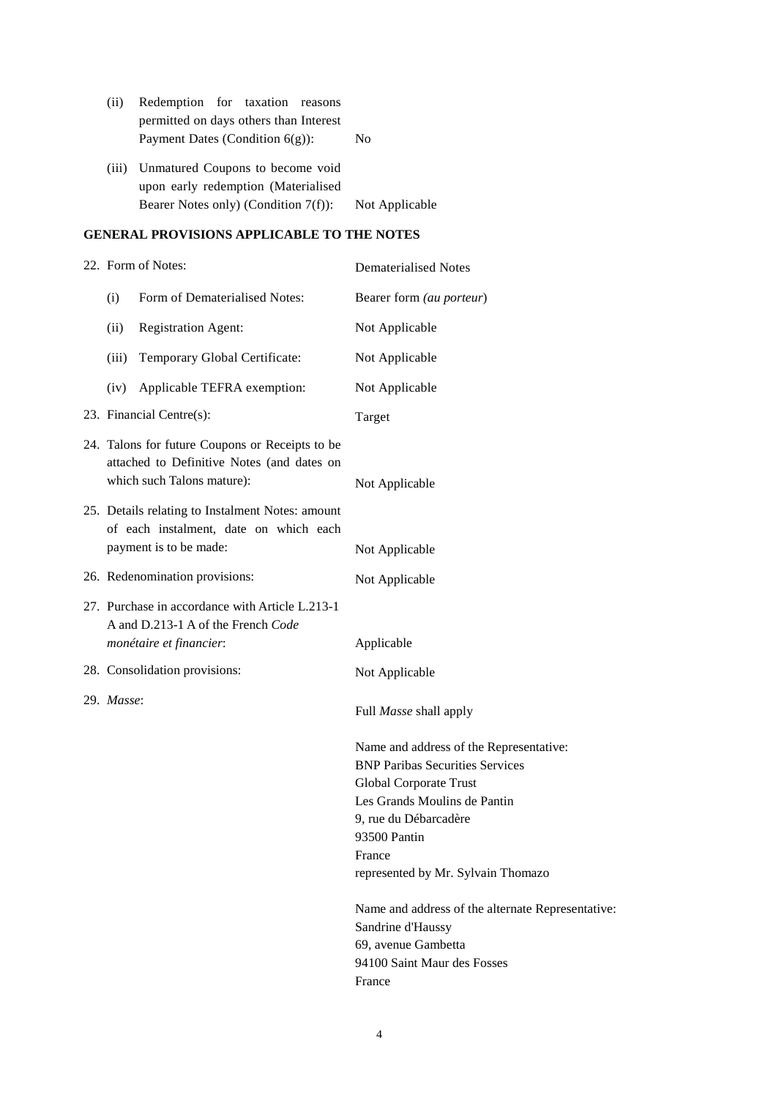| (i)   | Redemption for taxation reasons                                                                                 |                |  |  |
|-------|-----------------------------------------------------------------------------------------------------------------|----------------|--|--|
|       | permitted on days others than Interest                                                                          |                |  |  |
|       | Payment Dates (Condition $6(g)$ ):<br>N <sub>0</sub>                                                            |                |  |  |
| (iii) | Unmatured Coupons to become void<br>upon early redemption (Materialised<br>Bearer Notes only) (Condition 7(f)): | Not Applicable |  |  |

## **GENERAL PROVISIONS APPLICABLE TO THE NOTES**

| 22. Form of Notes: |                                                                                                                             | <b>Dematerialised Notes</b>                                                                                                                                                                                                                                                                                                           |  |  |
|--------------------|-----------------------------------------------------------------------------------------------------------------------------|---------------------------------------------------------------------------------------------------------------------------------------------------------------------------------------------------------------------------------------------------------------------------------------------------------------------------------------|--|--|
| (i)                | Form of Dematerialised Notes:                                                                                               | Bearer form (au porteur)                                                                                                                                                                                                                                                                                                              |  |  |
| (ii)               | <b>Registration Agent:</b>                                                                                                  | Not Applicable                                                                                                                                                                                                                                                                                                                        |  |  |
| (iii)              | Temporary Global Certificate:                                                                                               | Not Applicable                                                                                                                                                                                                                                                                                                                        |  |  |
| (iv)               | Applicable TEFRA exemption:                                                                                                 | Not Applicable                                                                                                                                                                                                                                                                                                                        |  |  |
|                    | 23. Financial Centre(s):                                                                                                    | Target                                                                                                                                                                                                                                                                                                                                |  |  |
|                    | 24. Talons for future Coupons or Receipts to be<br>attached to Definitive Notes (and dates on<br>which such Talons mature): | Not Applicable                                                                                                                                                                                                                                                                                                                        |  |  |
|                    | 25. Details relating to Instalment Notes: amount<br>of each instalment, date on which each<br>payment is to be made:        | Not Applicable                                                                                                                                                                                                                                                                                                                        |  |  |
|                    | 26. Redenomination provisions:                                                                                              | Not Applicable                                                                                                                                                                                                                                                                                                                        |  |  |
|                    | 27. Purchase in accordance with Article L.213-1<br>A and D.213-1 A of the French Code<br>monétaire et financier:            | Applicable                                                                                                                                                                                                                                                                                                                            |  |  |
|                    | 28. Consolidation provisions:                                                                                               | Not Applicable                                                                                                                                                                                                                                                                                                                        |  |  |
| 29. Masse:         |                                                                                                                             | Full Masse shall apply                                                                                                                                                                                                                                                                                                                |  |  |
|                    |                                                                                                                             | Name and address of the Representative:<br><b>BNP Paribas Securities Services</b><br>Global Corporate Trust<br>Les Grands Moulins de Pantin<br>9, rue du Débarcadère<br>93500 Pantin<br>France<br>represented by Mr. Sylvain Thomazo<br>Name and address of the alternate Representative:<br>Sandrine d'Haussy<br>69, avenue Gambetta |  |  |
|                    |                                                                                                                             | 94100 Saint Maur des Fosses<br>France                                                                                                                                                                                                                                                                                                 |  |  |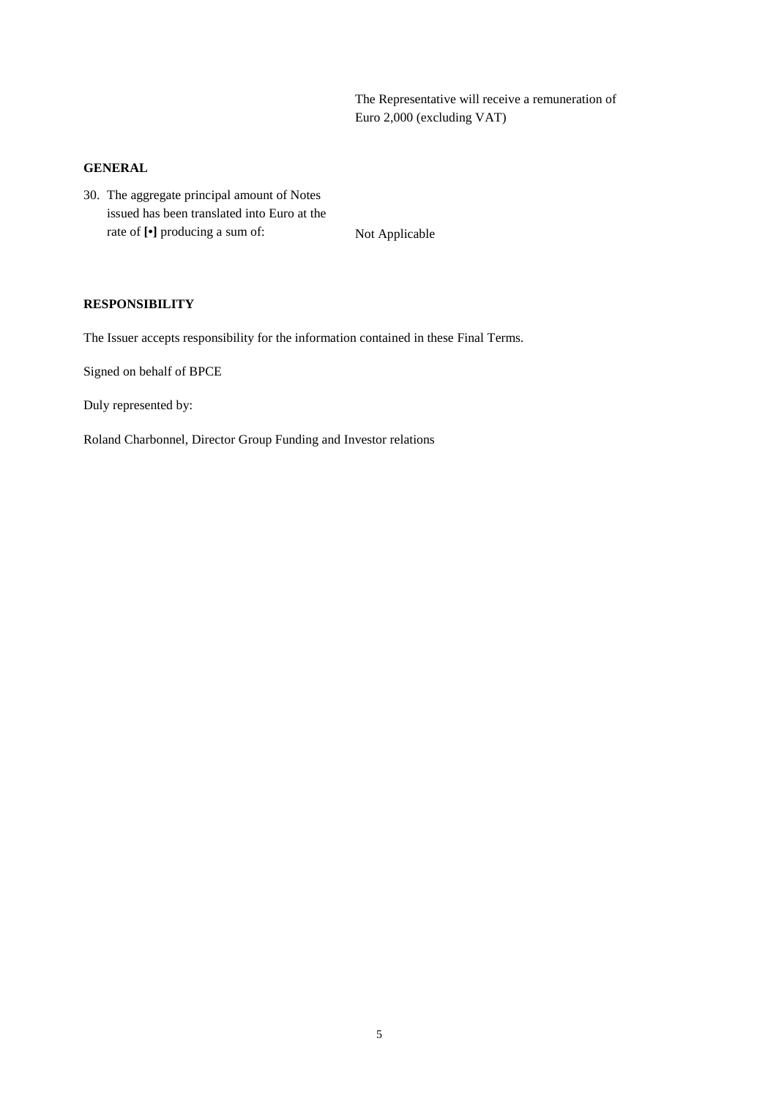The Representative will receive a remuneration of Euro 2,000 (excluding VAT)

#### **GENERAL**

30. The aggregate principal amount of Notes issued has been translated into Euro at the rate of  $\lbrack \bullet \rbrack$  producing a sum of: Not Applicable

#### **RESPONSIBILITY**

The Issuer accepts responsibility for the information contained in these Final Terms.

Signed on behalf of BPCE

Duly represented by:

Roland Charbonnel, Director Group Funding and Investor relations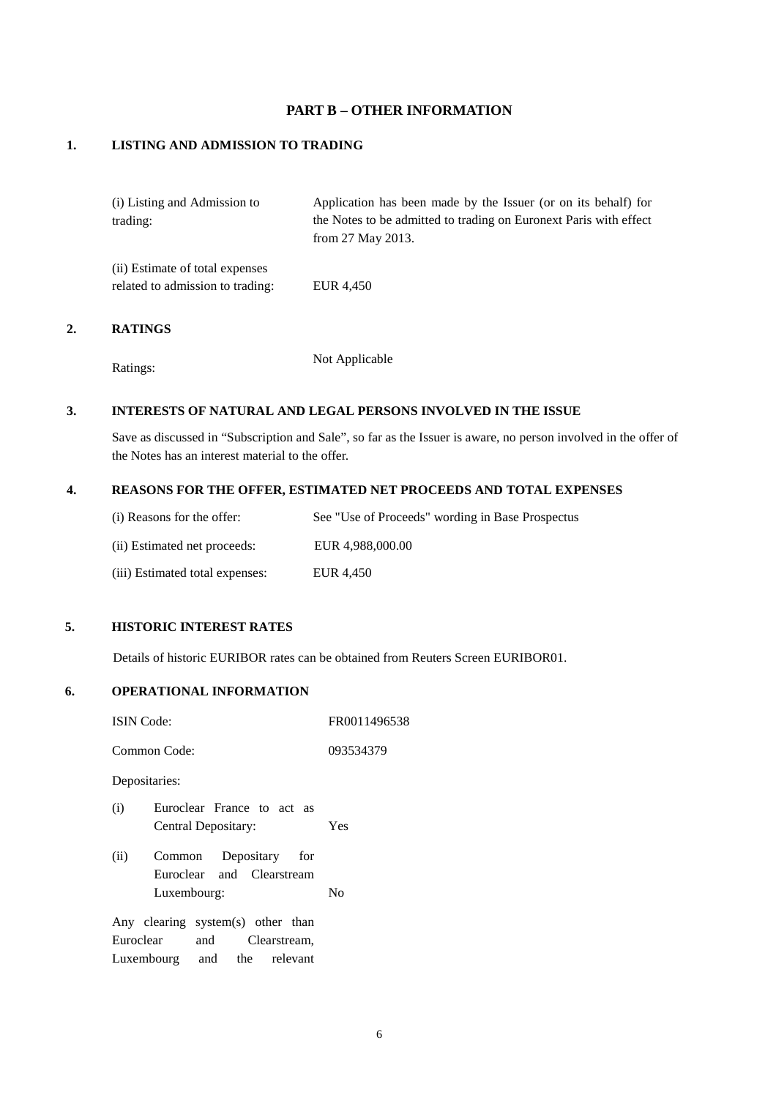### **PART B – OTHER INFORMATION**

#### **1. LISTING AND ADMISSION TO TRADING**

| (i) Listing and Admission to    | Application has been made by the Issuer (or on its behalf) for    |
|---------------------------------|-------------------------------------------------------------------|
| trading:                        | the Notes to be admitted to trading on Euronext Paris with effect |
|                                 | from $27$ May $2013$ .                                            |
| (ii) Estimate of total expenses |                                                                   |

related to admission to trading: EUR 4,450

### **2. RATINGS**

Ratings: Not Applicable

### **3. INTERESTS OF NATURAL AND LEGAL PERSONS INVOLVED IN THE ISSUE**

Save as discussed in "Subscription and Sale", so far as the Issuer is aware, no person involved in the offer of the Notes has an interest material to the offer.

#### **4. REASONS FOR THE OFFER, ESTIMATED NET PROCEEDS AND TOTAL EXPENSES**

| (i) Reasons for the offer:      | See "Use of Proceeds" wording in Base Prospectus |
|---------------------------------|--------------------------------------------------|
| (ii) Estimated net proceeds:    | EUR 4.988,000.00                                 |
| (iii) Estimated total expenses: | EUR 4.450                                        |

#### **5. HISTORIC INTEREST RATES**

Details of historic EURIBOR rates can be obtained from Reuters Screen EURIBOR01.

#### **6. OPERATIONAL INFORMATION**

| <b>ISIN</b> Code:                                                                                 |                                                                      | FR0011496538 |  |
|---------------------------------------------------------------------------------------------------|----------------------------------------------------------------------|--------------|--|
|                                                                                                   | Common Code:                                                         | 093534379    |  |
| Depositaries:                                                                                     |                                                                      |              |  |
| (i)                                                                                               | Euroclear France to act as<br>Central Depositary:                    | Yes          |  |
| (ii)                                                                                              | Depositary for<br>Common<br>Euroclear and Clearstream<br>Luxembourg: | $\rm No$     |  |
| Any clearing system(s) other than<br>Euroclear<br>and Clearstream,<br>Luxembourg and the relevant |                                                                      |              |  |